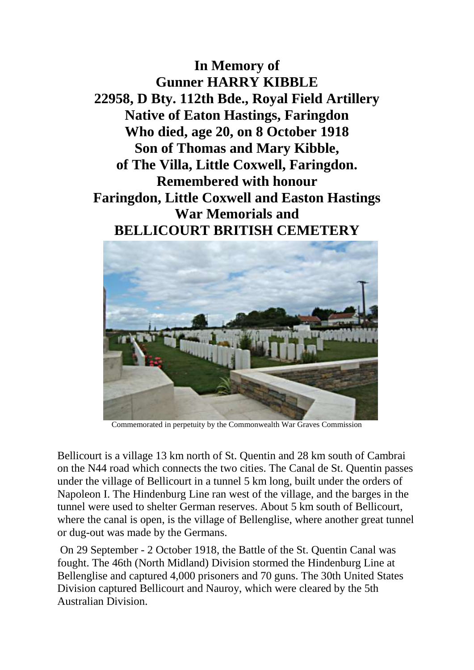**In Memory of Gunner HARRY KIBBLE 22958, D Bty. 112th Bde., Royal Field Artillery Native of Eaton Hastings, Faringdon Who died, age 20, on 8 October 1918 Son of Thomas and Mary Kibble, of The Villa, Little Coxwell, Faringdon. Remembered with honour Faringdon, Little Coxwell and Easton Hastings War Memorials and BELLICOURT BRITISH CEMETERY**



Commemorated in perpetuity by the Commonwealth War Graves Commission

Bellicourt is a village 13 km north of St. Quentin and 28 km south of Cambrai on the N44 road which connects the two cities. The Canal de St. Quentin passes under the village of Bellicourt in a tunnel 5 km long, built under the orders of Napoleon I. The Hindenburg Line ran west of the village, and the barges in the tunnel were used to shelter German reserves. About 5 km south of Bellicourt, where the canal is open, is the village of Bellenglise, where another great tunnel or dug-out was made by the Germans.

On 29 September - 2 October 1918, the Battle of the St. Quentin Canal was fought. The 46th (North Midland) Division stormed the Hindenburg Line at Bellenglise and captured 4,000 prisoners and 70 guns. The 30th United States Division captured Bellicourt and Nauroy, which were cleared by the 5th Australian Division.